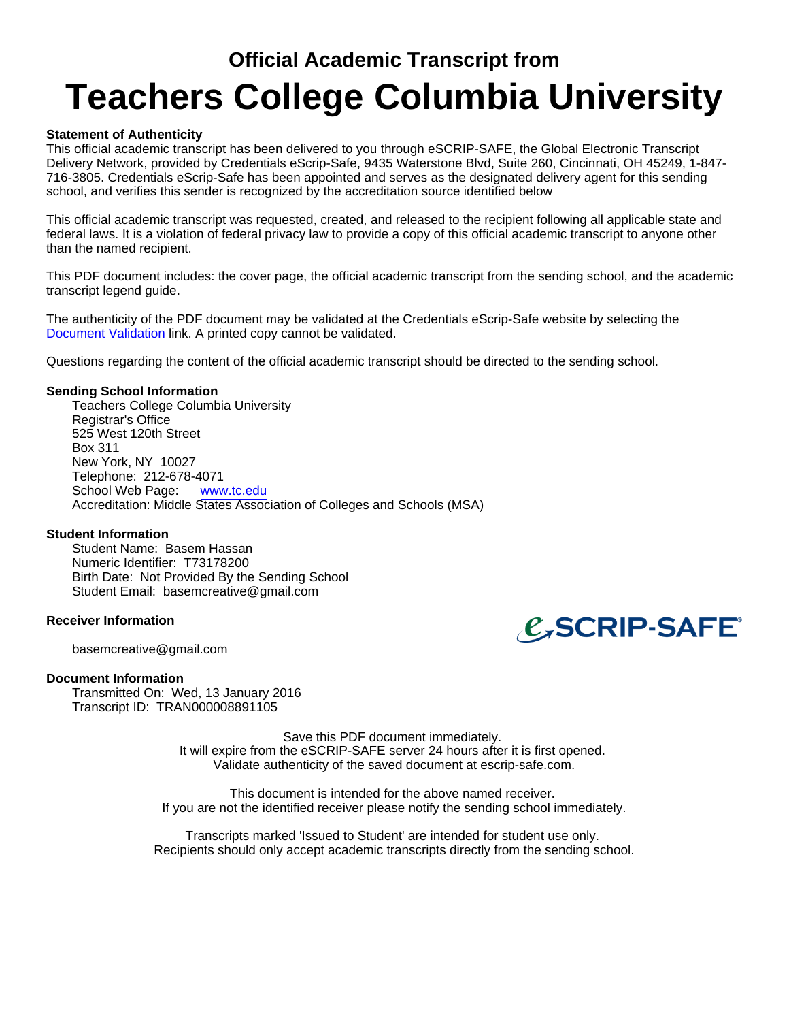## **Official Academic Transcript from Teachers College Columbia University**

## **Statement of Authenticity**

This official academic transcript has been delivered to you through eSCRIP-SAFE, the Global Electronic Transcript Delivery Network, provided by Credentials eScrip-Safe, 9435 Waterstone Blvd, Suite 260, Cincinnati, OH 45249, 1-847- 716-3805. Credentials eScrip-Safe has been appointed and serves as the designated delivery agent for this sending school, and verifies this sender is recognized by the accreditation source identified below

This official academic transcript was requested, created, and released to the recipient following all applicable state and federal laws. It is a violation of federal privacy law to provide a copy of this official academic transcript to anyone other than the named recipient.

This PDF document includes: the cover page, the official academic transcript from the sending school, and the academic transcript legend guide.

The authenticity of the PDF document may be validated at the Credentials eScrip-Safe website by selecting the Document Validation link. A printed copy cannot be validated.

Questions regarding the content of the official academic transcript should be directed to the sending school.

### **Sending School Information**

Teachers College Columbia University Registrar's Office 525 West 120th Street Box 311 New York, NY 10027 Telephone: 212-678-4071 School Web Page: www.tc.edu Accreditation: Middle States Association of Colleges and Schools (MSA)

### **Student Information**

Student Name: Basem Hassan Numeric Identifier: T73178200 Birth Date: Not Provided By the Sending School Student Email: basemcreative@gmail.com

### **Receiver Information**

basemcreative@gmail.com

#### **Document Information**

Transmitted On: Wed, 13 January 2016 Transcript ID: TRAN000008891105

> Save this PDF document immediately. It will expire from the eSCRIP-SAFE server 24 hours after it is first opened. Validate authenticity of the saved document at escrip-safe.com.

This document is intended for the above named receiver. If you are not the identified receiver please notify the sending school immediately.

Transcripts marked 'Issued to Student' are intended for student use only. Recipients should only accept academic transcripts directly from the sending school.

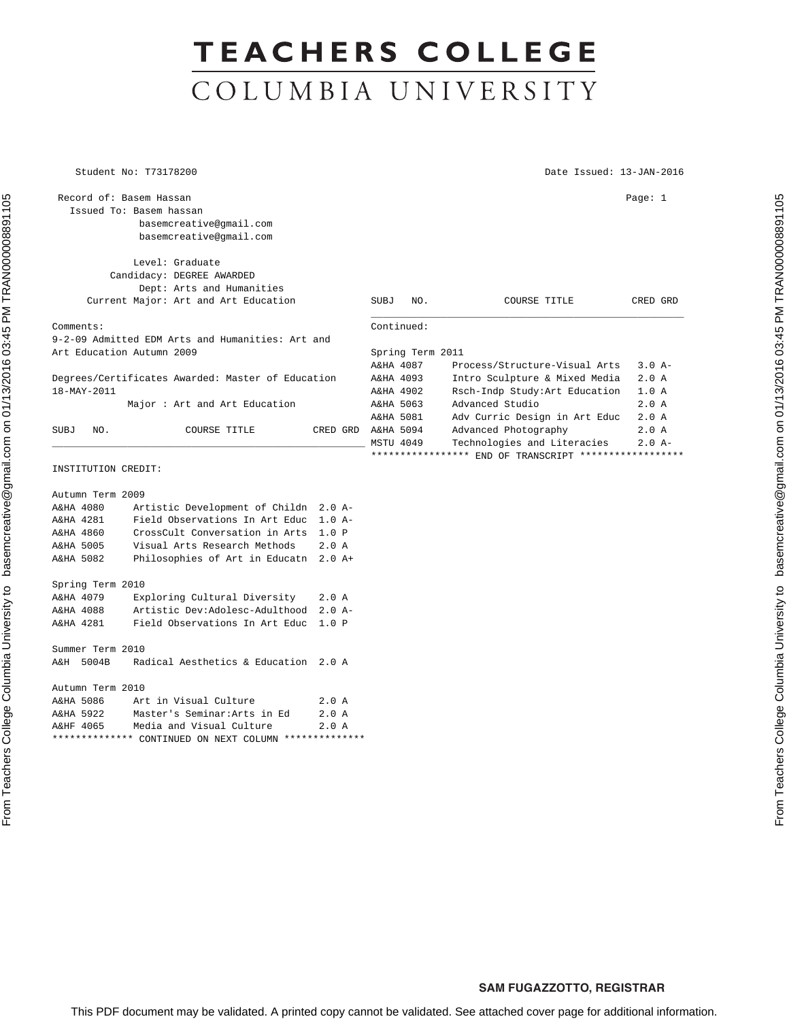# **TEACHERS COLLEGE** COLUMBIA UNIVERSITY

\*\*\*\*\*\*\*\*\*\*\*\*\*\* CONTINUED ON NEXT COLUMN \*\*\*\*\*\*\*\*\*\*\*\*\*\*

Student No: T73178200 Date Issued: 13-JAN-2016

| Record of: Basem Hassan                                                                                                       | Issued To: Basem hassan<br>basemcreative@gmail.com<br>basemcreative@gmail.com                                                                                                      |                                                               |                                                                                                                                                      |                                                                                                              | Page: $1$        |  |
|-------------------------------------------------------------------------------------------------------------------------------|------------------------------------------------------------------------------------------------------------------------------------------------------------------------------------|---------------------------------------------------------------|------------------------------------------------------------------------------------------------------------------------------------------------------|--------------------------------------------------------------------------------------------------------------|------------------|--|
|                                                                                                                               | Level: Graduate<br>Candidacy: DEGREE AWARDED<br>Dept: Arts and Humanities<br>Current Major: Art and Art Education                                                                  |                                                               | <b>SUBJ</b><br>NO.                                                                                                                                   | COURSE TITLE                                                                                                 | CRED GRD         |  |
| Comments:                                                                                                                     | 9-2-09 Admitted EDM Arts and Humanities: Art and                                                                                                                                   |                                                               | Continued:<br>Spring Term 2011                                                                                                                       |                                                                                                              |                  |  |
| Art Education Autumn 2009<br>Degrees/Certificates Awarded: Master of Education<br>18-MAY-2011<br>Major: Art and Art Education |                                                                                                                                                                                    | A&HA 4087<br>A&HA 4093<br>A&HA 4902<br>A&HA 5063<br>A&HA 5081 | Process/Structure-Visual Arts<br>Intro Sculpture & Mixed Media<br>Rsch-Indp Study: Art Education<br>Advanced Studio<br>Adv Curric Design in Art Educ | $3.0 A-$<br>2.0A<br>1.0 A<br>2.0A<br>2.0A                                                                    |                  |  |
| NO.<br>SUBJ                                                                                                                   | COURSE TITLE                                                                                                                                                                       |                                                               | CRED GRD A&HA 5094<br><b>MSTU 4049</b>                                                                                                               | Advanced Photography<br>Technologies and Literacies<br>**************** END OF TRANSCRIPT ****************** | 2.0A<br>$2.0 A-$ |  |
| INSTITUTION CREDIT:                                                                                                           |                                                                                                                                                                                    |                                                               |                                                                                                                                                      |                                                                                                              |                  |  |
| Autumn Term 2009<br>A&HA 4080<br>A&HA 4281<br>A&HA 4860<br>A&HA 5005<br>A&HA 5082                                             | Artistic Development of Childn 2.0 A-<br>Field Observations In Art Educ<br>CrossCult Conversation in Arts<br>Visual Arts Research Methods<br>Philosophies of Art in Educatn 2.0 A+ | $1.0 A-$<br>1.0 P<br>2.0A                                     |                                                                                                                                                      |                                                                                                              |                  |  |
| Spring Term 2010<br>A&HA 4079<br>A&HA 4088<br>A&HA 4281                                                                       | Exploring Cultural Diversity<br>Artistic Dev:Adolesc-Adulthood<br>Field Observations In Art Educ                                                                                   | 2.0A<br>$2.0 A-$<br>1.0 P                                     |                                                                                                                                                      |                                                                                                              |                  |  |
| Summer Term 2010<br>A&H 5004B                                                                                                 | Radical Aesthetics & Education 2.0 A                                                                                                                                               |                                                               |                                                                                                                                                      |                                                                                                              |                  |  |
| Autumn Term 2010<br>A&HA 5086<br>A&HA 5922<br>A&HF 4065                                                                       | Art in Visual Culture<br>Master's Seminar: Arts in Ed<br>Media and Visual Culture                                                                                                  | 2.0A<br>2.0A<br>2.0A                                          |                                                                                                                                                      |                                                                                                              |                  |  |

#### **SAM FUGAZZOTTO, REGISTRAR**

This PDF document may be validated. A printed copy cannot be validated. See attached cover page for additional information.